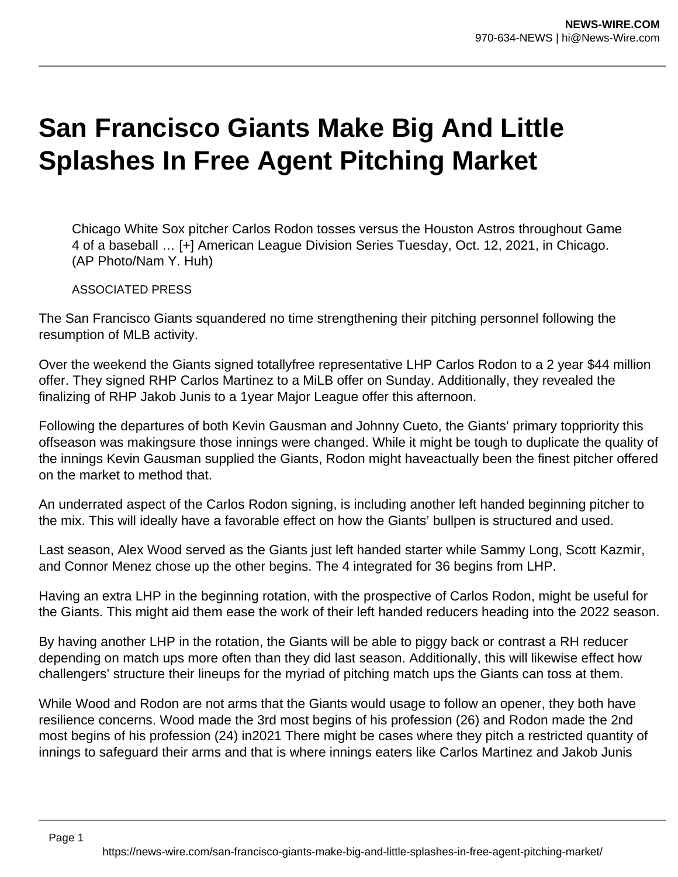## **San Francisco Giants Make Big And Little Splashes In Free Agent Pitching Market**

Chicago White Sox pitcher Carlos Rodon tosses versus the Houston Astros throughout Game 4 of a baseball … [+] American League Division Series Tuesday, Oct. 12, 2021, in Chicago. (AP Photo/Nam Y. Huh)

ASSOCIATED PRESS

The San Francisco Giants squandered no time strengthening their pitching personnel following the resumption of MLB activity.

Over the weekend the Giants signed totallyfree representative LHP Carlos Rodon to a 2 year \$44 million offer. They signed RHP Carlos Martinez to a MiLB offer on Sunday. Additionally, they revealed the finalizing of RHP Jakob Junis to a 1year Major League offer this afternoon.

Following the departures of both Kevin Gausman and Johnny Cueto, the Giants' primary toppriority this offseason was makingsure those innings were changed. While it might be tough to duplicate the quality of the innings Kevin Gausman supplied the Giants, Rodon might haveactually been the finest pitcher offered on the market to method that.

An underrated aspect of the Carlos Rodon signing, is including another left handed beginning pitcher to the mix. This will ideally have a favorable effect on how the Giants' bullpen is structured and used.

Last season, Alex Wood served as the Giants just left handed starter while Sammy Long, Scott Kazmir, and Connor Menez chose up the other begins. The 4 integrated for 36 begins from LHP.

Having an extra LHP in the beginning rotation, with the prospective of Carlos Rodon, might be useful for the Giants. This might aid them ease the work of their left handed reducers heading into the 2022 season.

By having another LHP in the rotation, the Giants will be able to piggy back or contrast a RH reducer depending on match ups more often than they did last season. Additionally, this will likewise effect how challengers' structure their lineups for the myriad of pitching match ups the Giants can toss at them.

While Wood and Rodon are not arms that the Giants would usage to follow an opener, they both have resilience concerns. Wood made the 3rd most begins of his profession (26) and Rodon made the 2nd most begins of his profession (24) in2021 There might be cases where they pitch a restricted quantity of innings to safeguard their arms and that is where innings eaters like Carlos Martinez and Jakob Junis